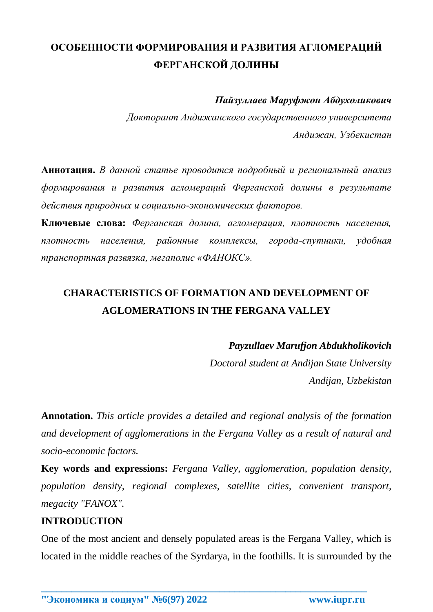# **ОСОБЕННОСТИ ФОРМИРОВАНИЯ И РАЗВИТИЯ АГЛОМЕРАЦИЙ ФЕРГАНСКОЙ ДОЛИНЫ**

*Пайзуллаев Маруфжон Абдухоликович*

*Докторант Андижанского государственного университета Андижан, Узбекистан*

**Аннотация.** *В данной статье проводится подробный и региональный анализ формирования и развития агломераций Ферганской долины в результате действия природных и социально-экономических факторов.* 

**Ключевые слова:** *Ферганская долина, агломерация, плотность населения, плотность населения, районные комплексы, города-спутники, удобная транспортная развязка, мегаполис «ФАНОКС».*

## **CHARACTERISTICS OF FORMATION AND DEVELOPMENT OF AGLOMERATIONS IN THE FERGANA VALLEY**

*Payzullaev Marufjon Abdukholikovich*

*Doctoral student at Andijan State University Andijan, Uzbekistan*

**Annotation.** *This article provides a detailed and regional analysis of the formation and development of agglomerations in the Fergana Valley as a result of natural and socio-economic factors.*

**Key words and expressions:** *Fergana Valley, agglomeration, population density, population density, regional complexes, satellite cities, convenient transport, megacity "FANOX".*

### **INTRODUCTION**

One of the most ancient and densely populated areas is the Fergana Valley, which is located in the middle reaches of the Syrdarya, in the foothills. It is surrounded by the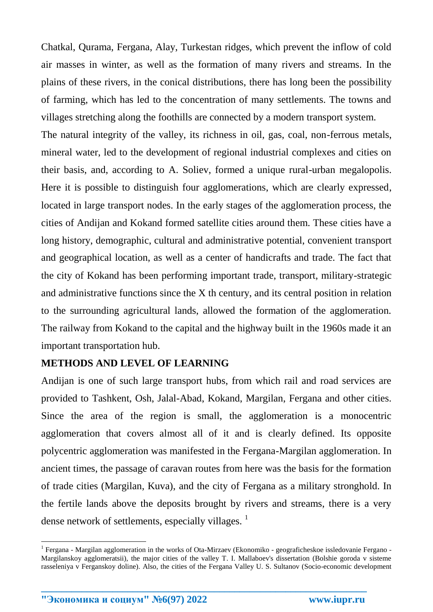Chatkal, Qurama, Fergana, Alay, Turkestan ridges, which prevent the inflow of cold air masses in winter, as well as the formation of many rivers and streams. In the plains of these rivers, in the conical distributions, there has long been the possibility of farming, which has led to the concentration of many settlements. The towns and villages stretching along the foothills are connected by a modern transport system.

The natural integrity of the valley, its richness in oil, gas, coal, non-ferrous metals, mineral water, led to the development of regional industrial complexes and cities on their basis, and, according to A. Soliev, formed a unique rural-urban megalopolis. Here it is possible to distinguish four agglomerations, which are clearly expressed, located in large transport nodes. In the early stages of the agglomeration process, the cities of Andijan and Kokand formed satellite cities around them. These cities have a long history, demographic, cultural and administrative potential, convenient transport and geographical location, as well as a center of handicrafts and trade. The fact that the city of Kokand has been performing important trade, transport, military-strategic and administrative functions since the X th century, and its central position in relation to the surrounding agricultural lands, allowed the formation of the agglomeration. The railway from Kokand to the capital and the highway built in the 1960s made it an important transportation hub.

### **METHODS AND LEVEL OF LEARNING**

Andijan is one of such large transport hubs, from which rail and road services are provided to Tashkent, Osh, Jalal-Abad, Kokand, Margilan, Fergana and other cities. Since the area of the region is small, the agglomeration is a monocentric agglomeration that covers almost all of it and is clearly defined. Its opposite polycentric agglomeration was manifested in the Fergana-Margilan agglomeration. In ancient times, the passage of caravan routes from here was the basis for the formation of trade cities (Margilan, Kuva), and the city of Fergana as a military stronghold. In the fertile lands above the deposits brought by rivers and streams, there is a very dense network of settlements, especially villages.  $\frac{1}{1}$ 

**\_\_\_\_\_\_\_\_\_\_\_\_\_\_\_\_\_\_\_\_\_\_\_\_\_\_\_\_\_\_\_\_\_\_\_\_\_\_\_\_\_\_\_\_\_\_\_\_\_\_\_\_\_\_\_\_\_\_\_\_\_\_\_\_**

<u>.</u>

<sup>&</sup>lt;sup>1</sup> Fergana - Margilan agglomeration in the works of Ota-Mirzaev (Ekonomiko - geograficheskoe issledovanie Fergano -Margilanskoy agglomeratsii), the major cities of the valley T. I. Mallaboev's dissertation (Bolshie goroda v sisteme rasseleniya v Ferganskoy doline). Also, the cities of the Fergana Valley U. S. Sultanov (Socio-economic development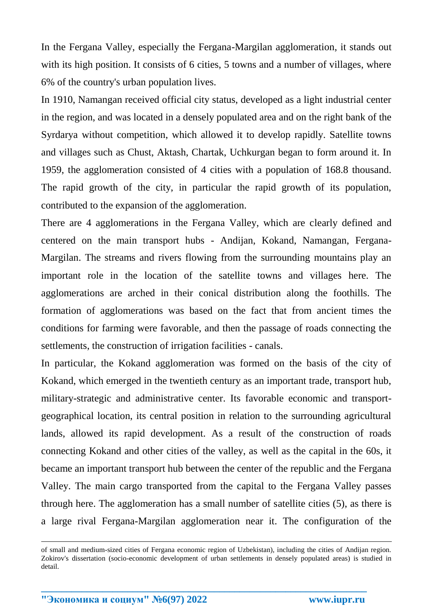In the Fergana Valley, especially the Fergana-Margilan agglomeration, it stands out with its high position. It consists of 6 cities, 5 towns and a number of villages, where 6% of the country's urban population lives.

In 1910, Namangan received official city status, developed as a light industrial center in the region, and was located in a densely populated area and on the right bank of the Syrdarya without competition, which allowed it to develop rapidly. Satellite towns and villages such as Chust, Aktash, Chartak, Uchkurgan began to form around it. In 1959, the agglomeration consisted of 4 cities with a population of 168.8 thousand. The rapid growth of the city, in particular the rapid growth of its population, contributed to the expansion of the agglomeration.

There are 4 agglomerations in the Fergana Valley, which are clearly defined and centered on the main transport hubs - Andijan, Kokand, Namangan, Fergana-Margilan. The streams and rivers flowing from the surrounding mountains play an important role in the location of the satellite towns and villages here. The agglomerations are arched in their conical distribution along the foothills. The formation of agglomerations was based on the fact that from ancient times the conditions for farming were favorable, and then the passage of roads connecting the settlements, the construction of irrigation facilities - canals.

In particular, the Kokand agglomeration was formed on the basis of the city of Kokand, which emerged in the twentieth century as an important trade, transport hub, military-strategic and administrative center. Its favorable economic and transportgeographical location, its central position in relation to the surrounding agricultural lands, allowed its rapid development. As a result of the construction of roads connecting Kokand and other cities of the valley, as well as the capital in the 60s, it became an important transport hub between the center of the republic and the Fergana Valley. The main cargo transported from the capital to the Fergana Valley passes through here. The agglomeration has a small number of satellite cities (5), as there is a large rival Fergana-Margilan agglomeration near it. The configuration of the

**\_\_\_\_\_\_\_\_\_\_\_\_\_\_\_\_\_\_\_\_\_\_\_\_\_\_\_\_\_\_\_\_\_\_\_\_\_\_\_\_\_\_\_\_\_\_\_\_\_\_\_\_\_\_\_\_\_\_\_\_\_\_\_\_**

<u>.</u>

of small and medium-sized cities of Fergana economic region of Uzbekistan), including the cities of Andijan region. Zokirov's dissertation (socio-economic development of urban settlements in densely populated areas) is studied in detail.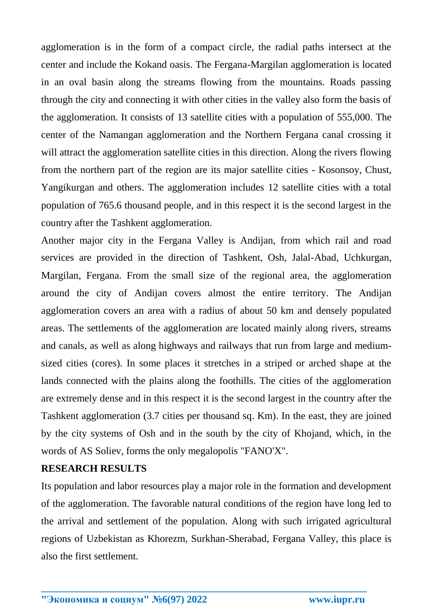agglomeration is in the form of a compact circle, the radial paths intersect at the center and include the Kokand oasis. The Fergana-Margilan agglomeration is located in an oval basin along the streams flowing from the mountains. Roads passing through the city and connecting it with other cities in the valley also form the basis of the agglomeration. It consists of 13 satellite cities with a population of 555,000. The center of the Namangan agglomeration and the Northern Fergana canal crossing it will attract the agglomeration satellite cities in this direction. Along the rivers flowing from the northern part of the region are its major satellite cities - Kosonsoy, Chust, Yangikurgan and others. The agglomeration includes 12 satellite cities with a total population of 765.6 thousand people, and in this respect it is the second largest in the country after the Tashkent agglomeration.

Another major city in the Fergana Valley is Andijan, from which rail and road services are provided in the direction of Tashkent, Osh, Jalal-Abad, Uchkurgan, Margilan, Fergana. From the small size of the regional area, the agglomeration around the city of Andijan covers almost the entire territory. The Andijan agglomeration covers an area with a radius of about 50 km and densely populated areas. The settlements of the agglomeration are located mainly along rivers, streams and canals, as well as along highways and railways that run from large and mediumsized cities (cores). In some places it stretches in a striped or arched shape at the lands connected with the plains along the foothills. The cities of the agglomeration are extremely dense and in this respect it is the second largest in the country after the Tashkent agglomeration (3.7 cities per thousand sq. Km). In the east, they are joined by the city systems of Osh and in the south by the city of Khojand, which, in the words of AS Soliev, forms the only megalopolis "FANO'X".

#### **RESEARCH RESULTS**

Its population and labor resources play a major role in the formation and development of the agglomeration. The favorable natural conditions of the region have long led to the arrival and settlement of the population. Along with such irrigated agricultural regions of Uzbekistan as Khorezm, Surkhan-Sherabad, Fergana Valley, this place is also the first settlement.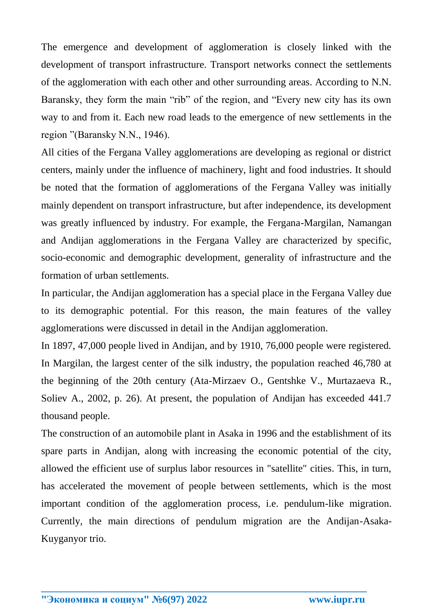The emergence and development of agglomeration is closely linked with the development of transport infrastructure. Transport networks connect the settlements of the agglomeration with each other and other surrounding areas. According to N.N. Baransky, they form the main "rib" of the region, and "Every new city has its own way to and from it. Each new road leads to the emergence of new settlements in the region "(Baransky N.N., 1946).

All cities of the Fergana Valley agglomerations are developing as regional or district centers, mainly under the influence of machinery, light and food industries. It should be noted that the formation of agglomerations of the Fergana Valley was initially mainly dependent on transport infrastructure, but after independence, its development was greatly influenced by industry. For example, the Fergana-Margilan, Namangan and Andijan agglomerations in the Fergana Valley are characterized by specific, socio-economic and demographic development, generality of infrastructure and the formation of urban settlements.

In particular, the Andijan agglomeration has a special place in the Fergana Valley due to its demographic potential. For this reason, the main features of the valley agglomerations were discussed in detail in the Andijan agglomeration.

In 1897, 47,000 people lived in Andijan, and by 1910, 76,000 people were registered. In Margilan, the largest center of the silk industry, the population reached 46,780 at the beginning of the 20th century (Ata-Mirzaev O., Gentshke V., Murtazaeva R., Soliev A., 2002, p. 26). At present, the population of Andijan has exceeded 441.7 thousand people.

The construction of an automobile plant in Asaka in 1996 and the establishment of its spare parts in Andijan, along with increasing the economic potential of the city, allowed the efficient use of surplus labor resources in "satellite" cities. This, in turn, has accelerated the movement of people between settlements, which is the most important condition of the agglomeration process, i.e. pendulum-like migration. Currently, the main directions of pendulum migration are the Andijan-Asaka-Kuyganyor trio.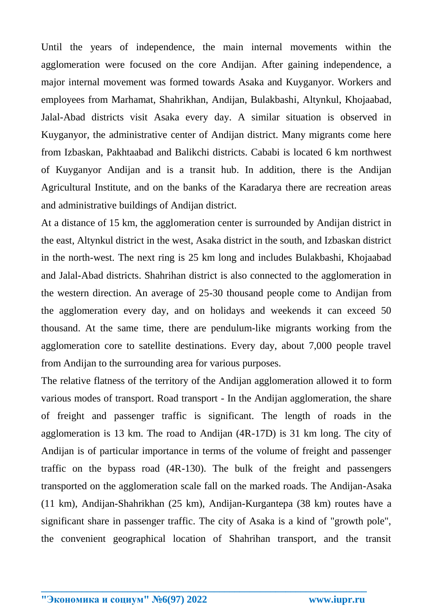Until the years of independence, the main internal movements within the agglomeration were focused on the core Andijan. After gaining independence, a major internal movement was formed towards Asaka and Kuyganyor. Workers and employees from Marhamat, Shahrikhan, Andijan, Bulakbashi, Altynkul, Khojaabad, Jalal-Abad districts visit Asaka every day. A similar situation is observed in Kuyganyor, the administrative center of Andijan district. Many migrants come here from Izbaskan, Pakhtaabad and Balikchi districts. Cababi is located 6 km northwest of Kuyganyor Andijan and is a transit hub. In addition, there is the Andijan Agricultural Institute, and on the banks of the Karadarya there are recreation areas and administrative buildings of Andijan district.

At a distance of 15 km, the agglomeration center is surrounded by Andijan district in the east, Altynkul district in the west, Asaka district in the south, and Izbaskan district in the north-west. The next ring is 25 km long and includes Bulakbashi, Khojaabad and Jalal-Abad districts. Shahrihan district is also connected to the agglomeration in the western direction. An average of 25-30 thousand people come to Andijan from the agglomeration every day, and on holidays and weekends it can exceed 50 thousand. At the same time, there are pendulum-like migrants working from the agglomeration core to satellite destinations. Every day, about 7,000 people travel from Andijan to the surrounding area for various purposes.

The relative flatness of the territory of the Andijan agglomeration allowed it to form various modes of transport. Road transport - In the Andijan agglomeration, the share of freight and passenger traffic is significant. The length of roads in the agglomeration is 13 km. The road to Andijan (4R-17D) is 31 km long. The city of Andijan is of particular importance in terms of the volume of freight and passenger traffic on the bypass road (4R-130). The bulk of the freight and passengers transported on the agglomeration scale fall on the marked roads. The Andijan-Asaka (11 km), Andijan-Shahrikhan (25 km), Andijan-Kurgantepa (38 km) routes have a significant share in passenger traffic. The city of Asaka is a kind of "growth pole", the convenient geographical location of Shahrihan transport, and the transit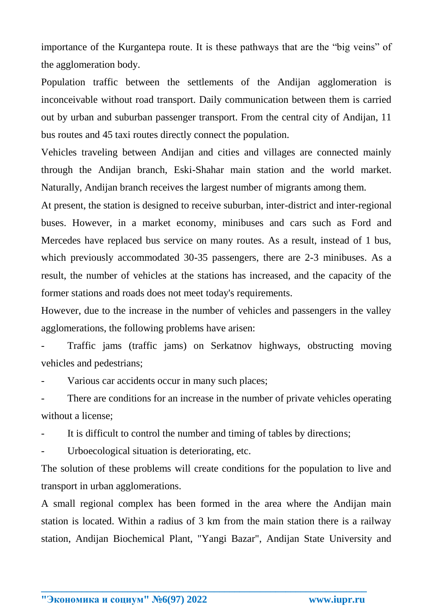importance of the Kurgantepa route. It is these pathways that are the "big veins" of the agglomeration body.

Population traffic between the settlements of the Andijan agglomeration is inconceivable without road transport. Daily communication between them is carried out by urban and suburban passenger transport. From the central city of Andijan, 11 bus routes and 45 taxi routes directly connect the population.

Vehicles traveling between Andijan and cities and villages are connected mainly through the Andijan branch, Eski-Shahar main station and the world market. Naturally, Andijan branch receives the largest number of migrants among them.

At present, the station is designed to receive suburban, inter-district and inter-regional buses. However, in a market economy, minibuses and cars such as Ford and Mercedes have replaced bus service on many routes. As a result, instead of 1 bus, which previously accommodated 30-35 passengers, there are 2-3 minibuses. As a result, the number of vehicles at the stations has increased, and the capacity of the former stations and roads does not meet today's requirements.

However, due to the increase in the number of vehicles and passengers in the valley agglomerations, the following problems have arisen:

- Traffic jams (traffic jams) on Serkatnov highways, obstructing moving vehicles and pedestrians;

Various car accidents occur in many such places;

There are conditions for an increase in the number of private vehicles operating without a license;

It is difficult to control the number and timing of tables by directions;

Urboecological situation is deteriorating, etc.

The solution of these problems will create conditions for the population to live and transport in urban agglomerations.

A small regional complex has been formed in the area where the Andijan main station is located. Within a radius of 3 km from the main station there is a railway station, Andijan Biochemical Plant, "Yangi Bazar", Andijan State University and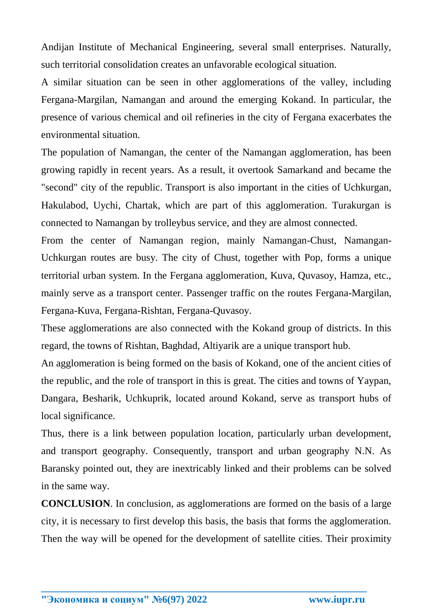Andijan Institute of Mechanical Engineering, several small enterprises. Naturally, such territorial consolidation creates an unfavorable ecological situation.

A similar situation can be seen in other agglomerations of the valley, including Fergana-Margilan, Namangan and around the emerging Kokand. In particular, the presence of various chemical and oil refineries in the city of Fergana exacerbates the environmental situation.

The population of Namangan, the center of the Namangan agglomeration, has been growing rapidly in recent years. As a result, it overtook Samarkand and became the "second" city of the republic. Transport is also important in the cities of Uchkurgan, Hakulabod, Uychi, Chartak, which are part of this agglomeration. Turakurgan is connected to Namangan by trolleybus service, and they are almost connected.

From the center of Namangan region, mainly Namangan-Chust, Namangan-Uchkurgan routes are busy. The city of Chust, together with Pop, forms a unique territorial urban system. In the Fergana agglomeration, Kuva, Quvasoy, Hamza, etc., mainly serve as a transport center. Passenger traffic on the routes Fergana-Margilan, Fergana-Kuva, Fergana-Rishtan, Fergana-Quvasoy.

These agglomerations are also connected with the Kokand group of districts. In this regard, the towns of Rishtan, Baghdad, Altiyarik are a unique transport hub.

An agglomeration is being formed on the basis of Kokand, one of the ancient cities of the republic, and the role of transport in this is great. The cities and towns of Yaypan, Dangara, Besharik, Uchkuprik, located around Kokand, serve as transport hubs of local significance.

Thus, there is a link between population location, particularly urban development, and transport geography. Consequently, transport and urban geography N.N. As Baransky pointed out, they are inextricably linked and their problems can be solved in the same way.

**CONCLUSION**. In conclusion, as agglomerations are formed on the basis of a large city, it is necessary to first develop this basis, the basis that forms the agglomeration. Then the way will be opened for the development of satellite cities. Their proximity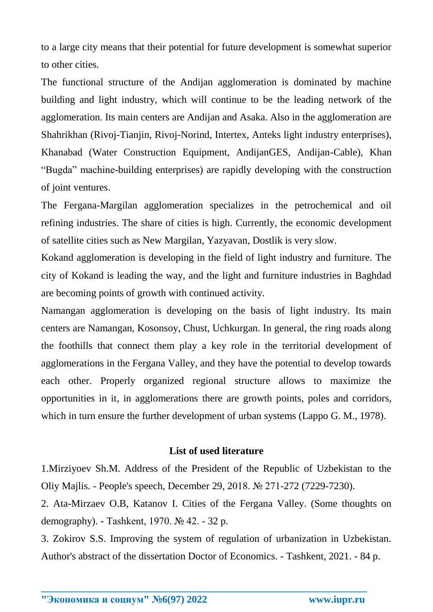to a large city means that their potential for future development is somewhat superior to other cities.

The functional structure of the Andijan agglomeration is dominated by machine building and light industry, which will continue to be the leading network of the agglomeration. Its main centers are Andijan and Asaka. Also in the agglomeration are Shahrikhan (Rivoj-Tianjin, Rivoj-Norind, Intertex, Anteks light industry enterprises), Khanabad (Water Construction Equipment, AndijanGES, Andijan-Cable), Khan "Bugda" machine-building enterprises) are rapidly developing with the construction of joint ventures.

The Fergana-Margilan agglomeration specializes in the petrochemical and oil refining industries. The share of cities is high. Currently, the economic development of satellite cities such as New Margilan, Yazyavan, Dostlik is very slow.

Kokand agglomeration is developing in the field of light industry and furniture. The city of Kokand is leading the way, and the light and furniture industries in Baghdad are becoming points of growth with continued activity.

Namangan agglomeration is developing on the basis of light industry. Its main centers are Namangan, Kosonsoy, Chust, Uchkurgan. In general, the ring roads along the foothills that connect them play a key role in the territorial development of agglomerations in the Fergana Valley, and they have the potential to develop towards each other. Properly organized regional structure allows to maximize the opportunities in it, in agglomerations there are growth points, poles and corridors, which in turn ensure the further development of urban systems (Lappo G. M., 1978).

#### **List of used literature**

1.Mirziyoev Sh.M. Address of the President of the Republic of Uzbekistan to the Oliy Majlis. - People's speech, December 29, 2018. № 271-272 (7229-7230).

2. Ata-Mirzaev O.B, Katanov I. Cities of the Fergana Valley. (Some thoughts on demography). - Tashkent, 1970. № 42. - 32 p.

3. Zokirov S.S. Improving the system of regulation of urbanization in Uzbekistan. Author's abstract of the dissertation Doctor of Economics. - Tashkent, 2021. - 84 p.